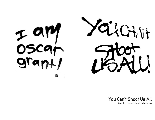



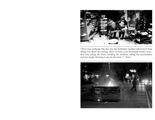

"There were outbreaks like this one, the footlocker incident which we've been telling you about all evening, where in some cases the people weren't even...<br>they were taking the shoes, breaking the windows, taking the merchandise, and just simply throwing it out on the street..." - News

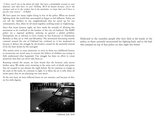*"I know you'll win in the finish all right. You have a formidable arsenal at your disposal, and what have we got? Nothing. We'll be beaten because you're the stronger and we're the weaker, but in the meantime, we hope that you'll have to pay for your victory." - A Rebel*

We have spent too many nights living in fear of the police. When we started *fighting back, the world that surrounded us began to feel different. Today, we can tell the children in our neighborhoods that we stood up for our communities, that, when we all stand together, nothing seems so frightening.*

*Since that warm January night, we have made the mistake of allowing this movement to be confined to the borders of the city of Oakland. The BART police are a regional problem, policing in general a global problem. Disruptions are as relevant at Civic Center in San Francisco or Downtown Berkeley as they are at 14th and Broadway. The movement becoming entirely centered around the city of Oakland has confined us, it has weakened us because it defines the struggle by the borders created by the powerful instead of by the lines drawn by the outraged.*

*This system exists to erase memories, to evict us from our childhood homes, to incarcerate our loved ones, to execute the fathers of children too young to*  fully understand what happened. Our struggle has been an effort to create *memories that they can never take from us.*

*Running toward the sunset, we have found that the horizon only moves* farther away. We awake every morning to the same cycle of death and power *that we escaped in our dreams the night before. Yet we continue to trudge to the ends of the earth, we continue to fight. It is when the air is still, when all seems quiet, that we are planning our next move.*

*At the very least, we have inflicted harm on our enemies, and because of this, we live with dignity.*



*Oakland, July 2010*

*Dedicated to the countless people who have died at the hands of the police, to those currently incarcerated for fighting back, and to the kids who jumped on top of that police car that night last winter.*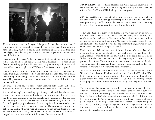

*When we realized that, in the eyes of the powerful, our lives are just piles of bones waiting to be shattered, arteries and veins on the verge of tearing open, hearts and lungs that stop beating and expanding at the moment they pull the trigger, the only thing left to do was to come together and make them tremble before us.*

*Everyone saw the video. At least it seemed that way at the time. A young*  father's last breaths press against a cold train platform, a cop holsters his *firearm and calmly pulls out his handcuffs. Why would they kill an unarmed* man with so many people around? Why don't we know how to respond?

*I wanted to break windows, to set fires, to strike fear into every cop on the streets that night. I wanted to show the powerful that they, too, would learn* the meaning of violence, just as we have been forced to learn it time and time again. They needed to understand that we don't forget, we needed to feel that *we were still alive.*

But what could we do? We were so weak then, we didn't know each other. *Somewhere I heard a call for a demonstration a week later. I came alone.*

*A warm winter night, not too long ago. A long march and then the sun sets. Shortly after, there is a fire and kids are jumping on top of a police car, shards of glass glimmer along the asphalt, and strangers are, for the first time, coming together. To see people who hours earlier hung their heads in fear of the police, people who were afraid to step into the street, finally come together and stand up to the cops was amazing. Days earlier we ran from the police, that night, when we were all together, we ran toward them. No one*  will ever forget that evening; the moment those kids jumped onto the roof of the police car was the most beautiful moment I've ever witnessed.

July 17, 8:20am*: The cops killed someone else. Once again in Fruitvale. Forty* eight year old Fred Collins died after being shot multiple times when five *officers from BART and OPD discharged their weapons.*

July 18, 11:27pm*: Shots fired at police from an upper floor of a high-rise building in the Acorn housing project complex in West Oakland. The officers were performing a traffic stop in the area and had to take cover when they heard the shots, however, no officers were hit by the gunfire*

Today, the situation is every bit as dismal as it was yesterday. Every hour of *our lives spent at work creates the revenue that strengthens the army that confronts us. In Stockton, in Livermore, in Bakersfield; the police continue to open fire on us, we continue to die. We have yet to create a force that can subject them to the misery that will one day confront them, however, we have come closer than we ever thought we would.*

*Until now, we believed we were fighting battles. On the day of a demonstration, we walked the streets, we fought, and we went home that night, unsure of what to do in the time until the next battle presented itself.*  Today, we understand that we are at the beginning of a war. Wars are protracted conflicts. Their results aren't determined at the end of the day. *The police have killed again, and, as of today, our response has been less than forceful. In warfare, it is necessary to develop weapons.*

*We need to learn new tactics. There is still so little we really know how to do. We could learn how to blockade roads or shut down BART trains. With better communication, we could attack police property or raid supplies in* places where the cops aren't waiting for us. We are working toward developing the capacity to respond forcefully every time the police kill one of *us.*

*This movement has never had leaders. It is composed of independent and often disconnected groups of people. These groups tend to operate outside of the typical political and social justice networks. So far, their autonomy, their lack of reliance on both the non-profit world and the radical political scenes, has been a strength. We all come from vastly different places, and many people may not be willing to work with one another. Therefore, the point*  isn't to try to bring everyone together into one organization. What is *important is to begin providing supplies to people to assist their ability to continue to struggle autonomously.*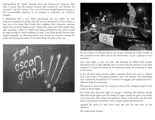*distinguishing the "good‰ elements from the "destructive‰ elements. This* time, it seems that the primary division they created was not between the *"peaceful‰ and the "violent,‰ but a racial division wedged between groups in the uncontrollable elements in an attempt to neutralize our collective strength.*

*I, identifying with a man whose photograph was not unlike my own* reflection, wondered if people who did not see themselves in Oscar Grant at *least saw in his image their friend, their neighbor, their classmate, someone* whose life was worth fighting over. I hoped that there were white people who, *after watching a video of a black man being murdered by the police, would be angry enough to break windows. In time, I met these people, because they fought alongside us, throwing bottles and chunks of concrete, cursing the police and writing the names of the dead along the walls of the city.*





*For an instant, we realized that we are strong, watching the police tremble as they cowered on the other side of the intersection, we got a glimpse of our potential.*

Later that night, as the cars were still burning, we talked with friends, *discussing ways to keep fighting, ways to ensure that the memory of the dead continues to haunt the living. In the following weeks, we continued to fight in the streets.*

*It was on those warm January nights, evenings which now seem so distant, that I met some of the greatest people I have ever known. Our friendships have created the foundations of a network of struggle and formed basis for a different kind of community.*

We learned so much from the courage of some of the youngest people on the *streets in those nights.*

For weeks after that first night of outrage, everything felt different. People *held their heads higher and the feeling of anger toward the police was finally out in the open. The violent and repressive nature of the police was the main topic of discussion everywhere I went. People openly disobeyed and*

insulted the police to their faces every day and the cops were on the *defensive.*

*We could finally breathe.*